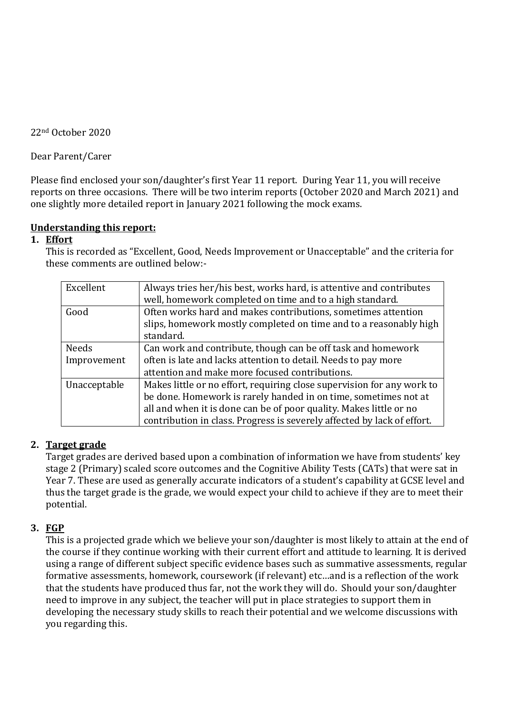22nd October 2020

Dear Parent/Carer

Please find enclosed your son/daughter's first Year 11 report. During Year 11, you will receive reports on three occasions. There will be two interim reports (October 2020 and March 2021) and one slightly more detailed report in January 2021 following the mock exams.

## **Understanding this report:**

## **1. Effort**

This is recorded as "Excellent, Good, Needs Improvement or Unacceptable" and the criteria for these comments are outlined below:-

| Excellent    | Always tries her/his best, works hard, is attentive and contributes<br>well, homework completed on time and to a high standard.    |
|--------------|------------------------------------------------------------------------------------------------------------------------------------|
| Good         | Often works hard and makes contributions, sometimes attention<br>slips, homework mostly completed on time and to a reasonably high |
|              | standard.                                                                                                                          |
| <b>Needs</b> | Can work and contribute, though can be off task and homework                                                                       |
| Improvement  | often is late and lacks attention to detail. Needs to pay more                                                                     |
|              | attention and make more focused contributions.                                                                                     |
| Unacceptable | Makes little or no effort, requiring close supervision for any work to                                                             |
|              | be done. Homework is rarely handed in on time, sometimes not at                                                                    |
|              | all and when it is done can be of poor quality. Makes little or no                                                                 |
|              | contribution in class. Progress is severely affected by lack of effort.                                                            |

# **2. Target grade**

Target grades are derived based upon a combination of information we have from students' key stage 2 (Primary) scaled score outcomes and the Cognitive Ability Tests (CATs) that were sat in Year 7. These are used as generally accurate indicators of a student's capability at GCSE level and thus the target grade is the grade, we would expect your child to achieve if they are to meet their potential.

# **3. FGP**

This is a projected grade which we believe your son/daughter is most likely to attain at the end of the course if they continue working with their current effort and attitude to learning. It is derived using a range of different subject specific evidence bases such as summative assessments, regular formative assessments, homework, coursework (if relevant) etc…and is a reflection of the work that the students have produced thus far, not the work they will do. Should your son/daughter need to improve in any subject, the teacher will put in place strategies to support them in developing the necessary study skills to reach their potential and we welcome discussions with you regarding this.